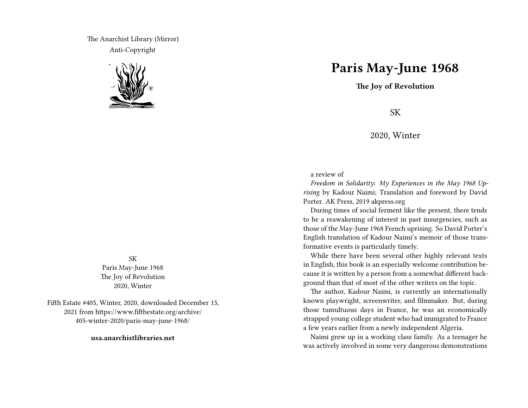The Anarchist Library (Mirror) Anti-Copyright



SK Paris May-June 1968 The Joy of Revolution 2020, Winter

Fifth Estate #405, Winter, 2020, downloaded December 15, 2021 from https://www.fifthestate.org/archive/ 405-winter-2020/paris-may-june-1968/

**usa.anarchistlibraries.net**

## **Paris May-June 1968**

**The Joy of Revolution**

SK

2020, Winter

## a review of

*Freedom in Solidarity: My Experiences in the May 1968 Uprising* by Kadour Naimi; Translation and foreword by David Porter. AK Press, 2019 akpress.org

During times of social ferment like the present, there tends to be a reawakening of interest in past insurgencies, such as those of the May-June 1968 French uprising. So David Porter's English translation of Kadour Naimi's memoir of those transformative events is particularly timely.

While there have been several other highly relevant texts in English, this book is an especially welcome contribution because it is written by a person from a somewhat different background than that of most of the other writers on the topic.

The author, Kadour Naimi, is currently an internationally known playwright, screenwriter, and filmmaker. But, during those tumultuous days in France, he was an economically strapped young college student who had immigrated to France a few years earlier from a newly independent Algeria.

Naimi grew up in a working class family. As a teenager he was actively involved in some very dangerous demonstrations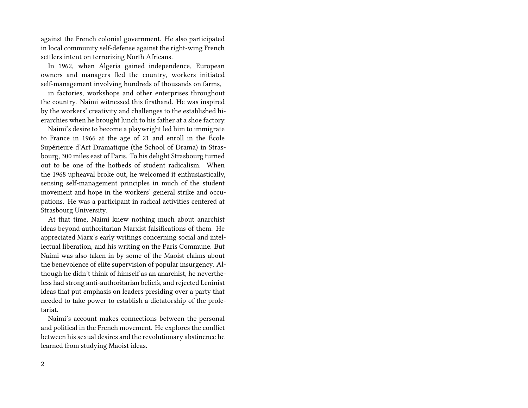against the French colonial government. He also participated in local community self-defense against the right-wing French settlers intent on terrorizing North Africans.

In 1962, when Algeria gained independence, European owners and managers fled the country, workers initiated self-management involving hundreds of thousands on farms,

in factories, workshops and other enterprises throughout the country. Naimi witnessed this firsthand. He was inspired by the workers' creativity and challenges to the established hierarchies when he brought lunch to his father at a shoe factory.

Naimi's desire to become a playwright led him to immigrate to France in 1966 at the age of 21 and enroll in the École Supérieure d'Art Dramatique (the School of Drama) in Strasbourg, 300 miles east of Paris. To his delight Strasbourg turned out to be one of the hotbeds of student radicalism. When the 1968 upheaval broke out, he welcomed it enthusiastically, sensing self-management principles in much of the student movement and hope in the workers' general strike and occupations. He was a participant in radical activities centered at Strasbourg University.

At that time, Naimi knew nothing much about anarchist ideas beyond authoritarian Marxist falsifications of them. He appreciated Marx's early writings concerning social and intellectual liberation, and his writing on the Paris Commune. But Naimi was also taken in by some of the Maoist claims about the benevolence of elite supervision of popular insurgency. Although he didn't think of himself as an anarchist, he nevertheless had strong anti-authoritarian beliefs, and rejected Leninist ideas that put emphasis on leaders presiding over a party that needed to take power to establish a dictatorship of the proletariat.

Naimi's account makes connections between the personal and political in the French movement. He explores the conflict between his sexual desires and the revolutionary abstinence he learned from studying Maoist ideas.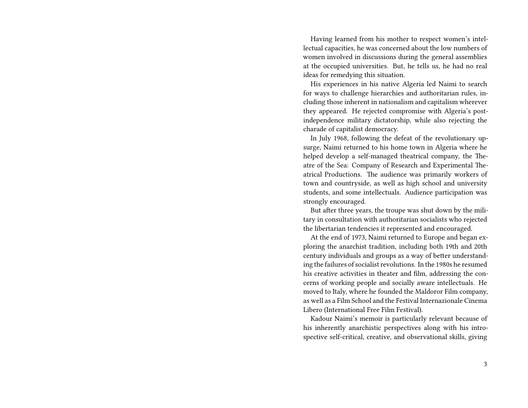Having learned from his mother to respect women's intellectual capacities, he was concerned about the low numbers of women involved in discussions during the general assemblies at the occupied universities. But, he tells us, he had no real ideas for remedying this situation.

His experiences in his native Algeria led Naimi to search for ways to challenge hierarchies and authoritarian rules, including those inherent in nationalism and capitalism wherever they appeared. He rejected compromise with Algeria's postindependence military dictatorship, while also rejecting the charade of capitalist democracy.

In July 1968, following the defeat of the revolutionary upsurge, Naimi returned to his home town in Algeria where he helped develop a self-managed theatrical company, the Theatre of the Sea: Company of Research and Experimental Theatrical Productions. The audience was primarily workers of town and countryside, as well as high school and university students, and some intellectuals. Audience participation was strongly encouraged.

But after three years, the troupe was shut down by the military in consultation with authoritarian socialists who rejected the libertarian tendencies it represented and encouraged.

At the end of 1973, Naimi returned to Europe and began exploring the anarchist tradition, including both 19th and 20th century individuals and groups as a way of better understanding the failures of socialist revolutions. In the 1980s he resumed his creative activities in theater and film, addressing the concerns of working people and socially aware intellectuals. He moved to Italy, where he founded the Maldoror Film company, as well as a Film School and the Festival Internazionale Cinema Libero (International Free Film Festival).

Kadour Naimi's memoir is particularly relevant because of his inherently anarchistic perspectives along with his introspective self-critical, creative, and observational skills, giving